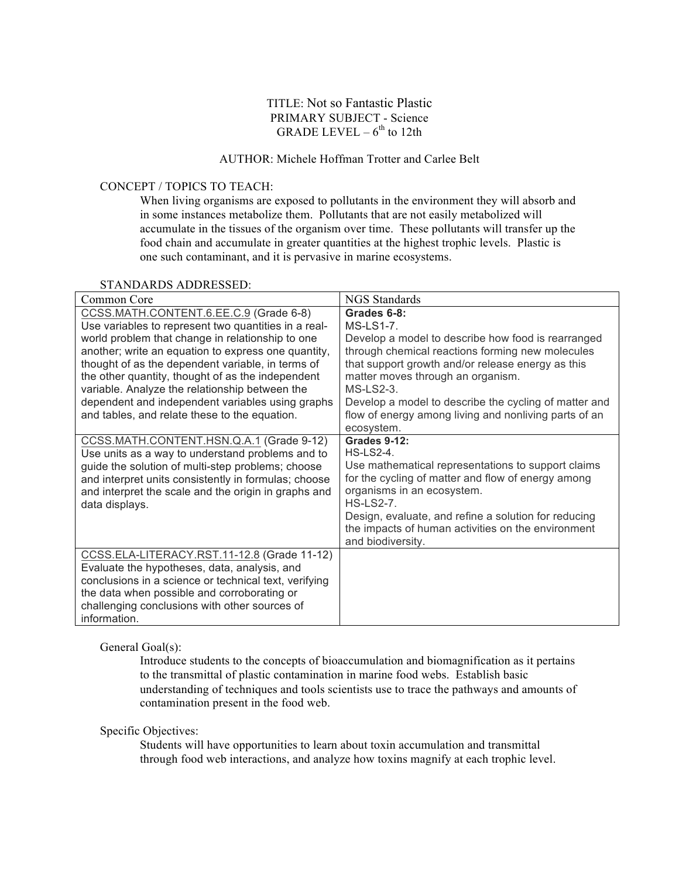#### TITLE: Not so Fantastic Plastic PRIMARY SUBJECT - Science GRADE LEVEL  $-6^{th}$  to 12th

## AUTHOR: Michele Hoffman Trotter and Carlee Belt

#### CONCEPT / TOPICS TO TEACH:

When living organisms are exposed to pollutants in the environment they will absorb and in some instances metabolize them. Pollutants that are not easily metabolized will accumulate in the tissues of the organism over time. These pollutants will transfer up the food chain and accumulate in greater quantities at the highest trophic levels. Plastic is one such contaminant, and it is pervasive in marine ecosystems.

#### STANDARDS ADDRESSED:

| Common Core                                                                                                                                                                                                                                                                                                                                                                                                                                                                | <b>NGS</b> Standards                                                                                                                                                                                                                                                                                                                                                              |
|----------------------------------------------------------------------------------------------------------------------------------------------------------------------------------------------------------------------------------------------------------------------------------------------------------------------------------------------------------------------------------------------------------------------------------------------------------------------------|-----------------------------------------------------------------------------------------------------------------------------------------------------------------------------------------------------------------------------------------------------------------------------------------------------------------------------------------------------------------------------------|
| CCSS.MATH.CONTENT.6.EE.C.9 (Grade 6-8)<br>Use variables to represent two quantities in a real-<br>world problem that change in relationship to one<br>another; write an equation to express one quantity,<br>thought of as the dependent variable, in terms of<br>the other quantity, thought of as the independent<br>variable. Analyze the relationship between the<br>dependent and independent variables using graphs<br>and tables, and relate these to the equation. | Grades 6-8:<br><b>MS-LS1-7.</b><br>Develop a model to describe how food is rearranged<br>through chemical reactions forming new molecules<br>that support growth and/or release energy as this<br>matter moves through an organism.<br>$MS-LS2-3$<br>Develop a model to describe the cycling of matter and<br>flow of energy among living and nonliving parts of an<br>ecosystem. |
| CCSS.MATH.CONTENT.HSN.Q.A.1 (Grade 9-12)<br>Use units as a way to understand problems and to<br>guide the solution of multi-step problems; choose<br>and interpret units consistently in formulas; choose<br>and interpret the scale and the origin in graphs and<br>data displays.                                                                                                                                                                                        | <b>Grades 9-12:</b><br>$HS$ -LS2-4.<br>Use mathematical representations to support claims<br>for the cycling of matter and flow of energy among<br>organisms in an ecosystem.<br><b>HS-LS2-7.</b><br>Design, evaluate, and refine a solution for reducing<br>the impacts of human activities on the environment<br>and biodiversity.                                              |
| CCSS.ELA-LITERACY.RST.11-12.8 (Grade 11-12)<br>Evaluate the hypotheses, data, analysis, and<br>conclusions in a science or technical text, verifying<br>the data when possible and corroborating or<br>challenging conclusions with other sources of<br>information.                                                                                                                                                                                                       |                                                                                                                                                                                                                                                                                                                                                                                   |

General Goal(s):

Introduce students to the concepts of bioaccumulation and biomagnification as it pertains to the transmittal of plastic contamination in marine food webs. Establish basic understanding of techniques and tools scientists use to trace the pathways and amounts of contamination present in the food web.

#### Specific Objectives:

Students will have opportunities to learn about toxin accumulation and transmittal through food web interactions, and analyze how toxins magnify at each trophic level.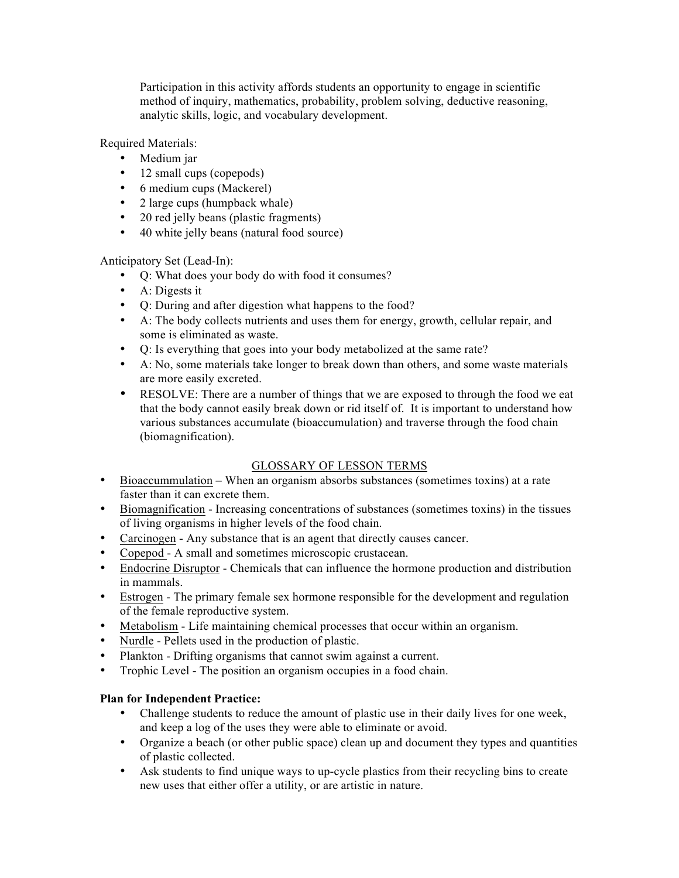Participation in this activity affords students an opportunity to engage in scientific method of inquiry, mathematics, probability, problem solving, deductive reasoning, analytic skills, logic, and vocabulary development.

Required Materials:

- Medium jar
- 12 small cups (copepods)
- 6 medium cups (Mackerel)
- 2 large cups (humpback whale)
- 20 red jelly beans (plastic fragments)
- 40 white jelly beans (natural food source)

Anticipatory Set (Lead-In):

- Q: What does your body do with food it consumes?
- A: Digests it
- Q: During and after digestion what happens to the food?
- A: The body collects nutrients and uses them for energy, growth, cellular repair, and some is eliminated as waste.
- Q: Is everything that goes into your body metabolized at the same rate?
- A: No, some materials take longer to break down than others, and some waste materials are more easily excreted.
- RESOLVE: There are a number of things that we are exposed to through the food we eat that the body cannot easily break down or rid itself of. It is important to understand how various substances accumulate (bioaccumulation) and traverse through the food chain (biomagnification).

### GLOSSARY OF LESSON TERMS

- Bioaccummulation When an organism absorbs substances (sometimes toxins) at a rate faster than it can excrete them.
- Biomagnification Increasing concentrations of substances (sometimes toxins) in the tissues of living organisms in higher levels of the food chain.
- Carcinogen Any substance that is an agent that directly causes cancer.
- Copepod A small and sometimes microscopic crustacean.
- Endocrine Disruptor Chemicals that can influence the hormone production and distribution in mammals.
- Estrogen The primary female sex hormone responsible for the development and regulation of the female reproductive system.
- Metabolism Life maintaining chemical processes that occur within an organism.
- Nurdle Pellets used in the production of plastic.
- Plankton Drifting organisms that cannot swim against a current.
- Trophic Level The position an organism occupies in a food chain.

### **Plan for Independent Practice:**

- Challenge students to reduce the amount of plastic use in their daily lives for one week, and keep a log of the uses they were able to eliminate or avoid.
- Organize a beach (or other public space) clean up and document they types and quantities of plastic collected.
- Ask students to find unique ways to up-cycle plastics from their recycling bins to create new uses that either offer a utility, or are artistic in nature.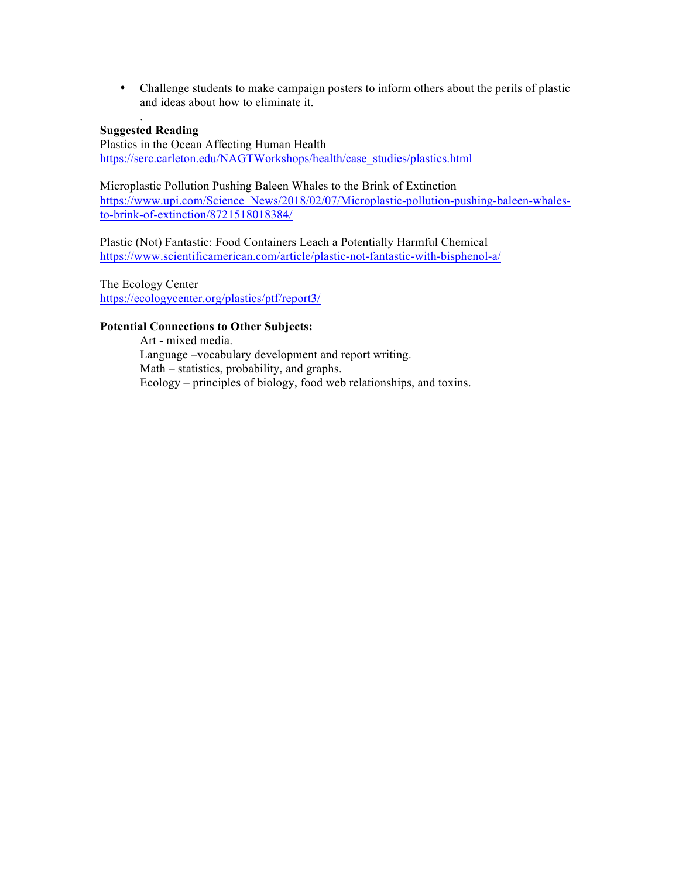• Challenge students to make campaign posters to inform others about the perils of plastic and ideas about how to eliminate it.

#### . **Suggested Reading**

Plastics in the Ocean Affecting Human Health https://serc.carleton.edu/NAGTWorkshops/health/case\_studies/plastics.html

Microplastic Pollution Pushing Baleen Whales to the Brink of Extinction https://www.upi.com/Science\_News/2018/02/07/Microplastic-pollution-pushing-baleen-whalesto-brink-of-extinction/8721518018384/

Plastic (Not) Fantastic: Food Containers Leach a Potentially Harmful Chemical https://www.scientificamerican.com/article/plastic-not-fantastic-with-bisphenol-a/

The Ecology Center https://ecologycenter.org/plastics/ptf/report3/

#### **Potential Connections to Other Subjects:**

Art - mixed media. Language –vocabulary development and report writing. Math – statistics, probability, and graphs. Ecology – principles of biology, food web relationships, and toxins.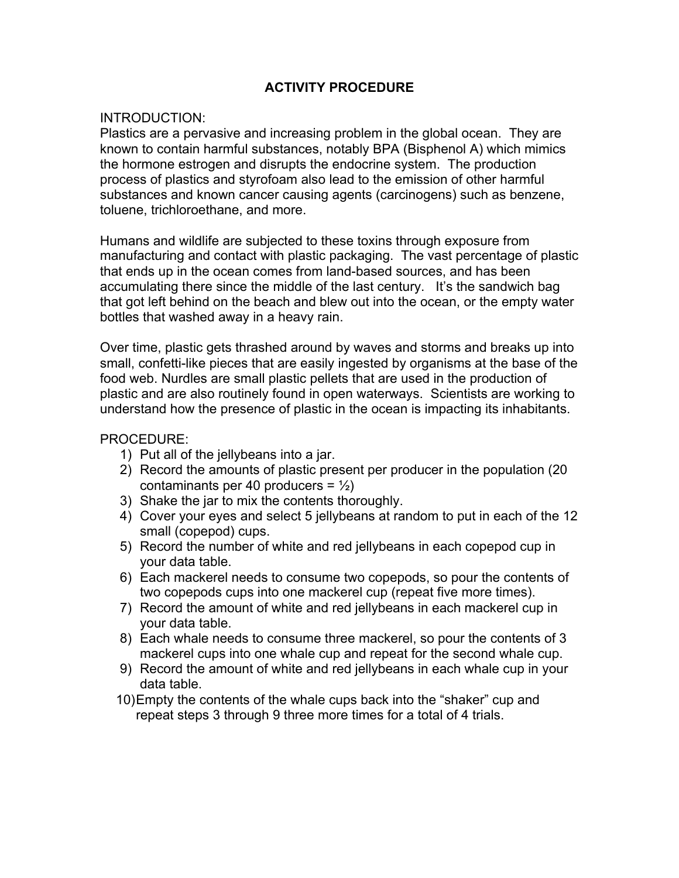# **ACTIVITY PROCEDURE**

## INTRODUCTION:

Plastics are a pervasive and increasing problem in the global ocean. They are known to contain harmful substances, notably BPA (Bisphenol A) which mimics the hormone estrogen and disrupts the endocrine system. The production process of plastics and styrofoam also lead to the emission of other harmful substances and known cancer causing agents (carcinogens) such as benzene, toluene, trichloroethane, and more.

Humans and wildlife are subjected to these toxins through exposure from manufacturing and contact with plastic packaging. The vast percentage of plastic that ends up in the ocean comes from land-based sources, and has been accumulating there since the middle of the last century. It's the sandwich bag that got left behind on the beach and blew out into the ocean, or the empty water bottles that washed away in a heavy rain.

Over time, plastic gets thrashed around by waves and storms and breaks up into small, confetti-like pieces that are easily ingested by organisms at the base of the food web. Nurdles are small plastic pellets that are used in the production of plastic and are also routinely found in open waterways. Scientists are working to understand how the presence of plastic in the ocean is impacting its inhabitants.

## PROCEDURE:

- 1) Put all of the jellybeans into a jar.
- 2) Record the amounts of plastic present per producer in the population (20 contaminants per 40 producers =  $\frac{1}{2}$
- 3) Shake the jar to mix the contents thoroughly.
- 4) Cover your eyes and select 5 jellybeans at random to put in each of the 12 small (copepod) cups.
- 5) Record the number of white and red jellybeans in each copepod cup in your data table.
- 6) Each mackerel needs to consume two copepods, so pour the contents of two copepods cups into one mackerel cup (repeat five more times).
- 7) Record the amount of white and red jellybeans in each mackerel cup in your data table.
- 8) Each whale needs to consume three mackerel, so pour the contents of 3 mackerel cups into one whale cup and repeat for the second whale cup.
- 9) Record the amount of white and red jellybeans in each whale cup in your data table.
- 10)Empty the contents of the whale cups back into the "shaker" cup and repeat steps 3 through 9 three more times for a total of 4 trials.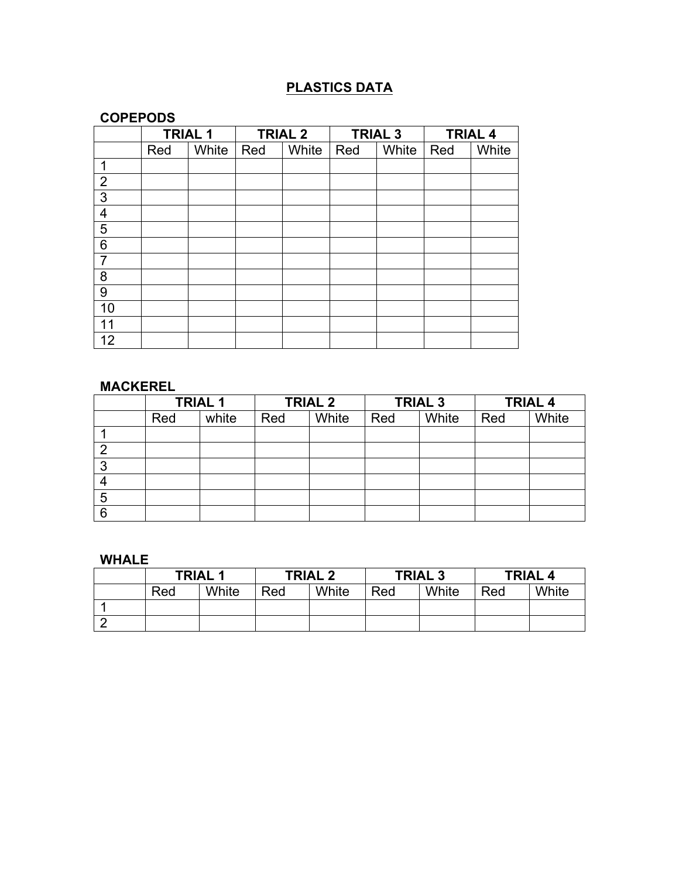# **PLASTICS DATA**

# **COPEPODS**

|                | <b>TRIAL 1</b> |       | <b>TRIAL 2</b> |       | <b>TRIAL 3</b> |       | <b>TRIAL 4</b> |       |
|----------------|----------------|-------|----------------|-------|----------------|-------|----------------|-------|
|                | Red            | White | Red            | White | Red            | White | Red            | White |
| 1              |                |       |                |       |                |       |                |       |
| $\overline{2}$ |                |       |                |       |                |       |                |       |
| $\overline{3}$ |                |       |                |       |                |       |                |       |
| 4              |                |       |                |       |                |       |                |       |
| $\overline{5}$ |                |       |                |       |                |       |                |       |
| $\overline{6}$ |                |       |                |       |                |       |                |       |
| 7              |                |       |                |       |                |       |                |       |
| 8              |                |       |                |       |                |       |                |       |
| $\overline{9}$ |                |       |                |       |                |       |                |       |
| 10             |                |       |                |       |                |       |                |       |
| 11             |                |       |                |       |                |       |                |       |
| 12             |                |       |                |       |                |       |                |       |

# **MACKEREL**

|   | <b>TRIAL 1</b> |       | <b>TRIAL 2</b> |       | <b>TRIAL 3</b> |       | <b>TRIAL 4</b> |       |
|---|----------------|-------|----------------|-------|----------------|-------|----------------|-------|
|   | Red            | white | Red            | White | Red            | White | Red            | White |
|   |                |       |                |       |                |       |                |       |
| n |                |       |                |       |                |       |                |       |
| 3 |                |       |                |       |                |       |                |       |
|   |                |       |                |       |                |       |                |       |
| 5 |                |       |                |       |                |       |                |       |
| 6 |                |       |                |       |                |       |                |       |

# **WHALE**

| <b>TRIAL 1</b> |       | <b>TRIAL 2</b> |       | <b>TRIAL 3</b> |       | <b>TRIAL 4</b> |       |
|----------------|-------|----------------|-------|----------------|-------|----------------|-------|
| Red            | White | Red            | White | Red            | White | Red            | White |
|                |       |                |       |                |       |                |       |
|                |       |                |       |                |       |                |       |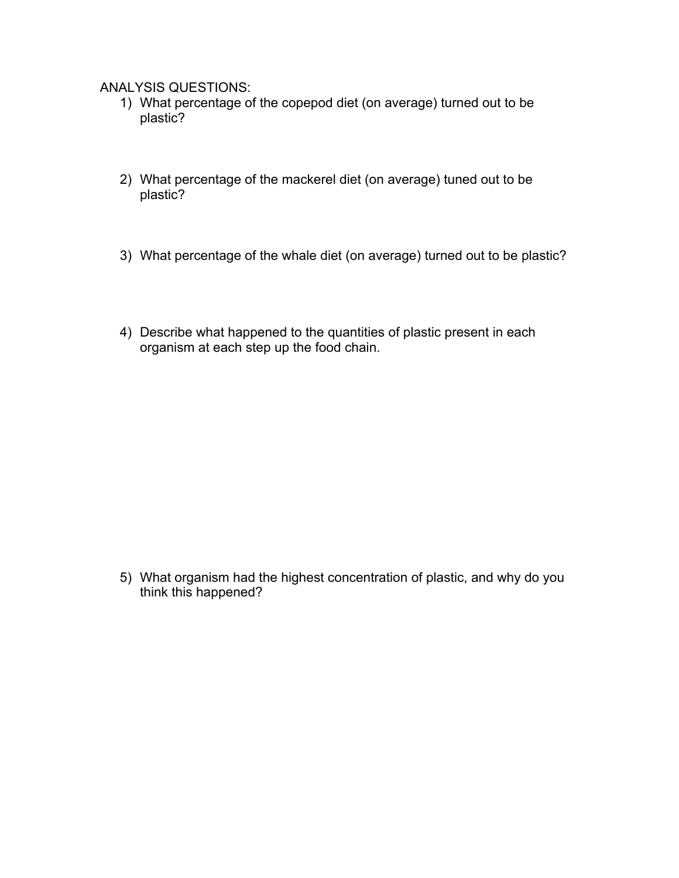ANALYSIS QUESTIONS:

- 1) What percentage of the copepod diet (on average) turned out to be plastic?
- 2) What percentage of the mackerel diet (on average) tuned out to be plastic?
- 3) What percentage of the whale diet (on average) turned out to be plastic?
- 4) Describe what happened to the quantities of plastic present in each organism at each step up the food chain.

5) What organism had the highest concentration of plastic, and why do you think this happened?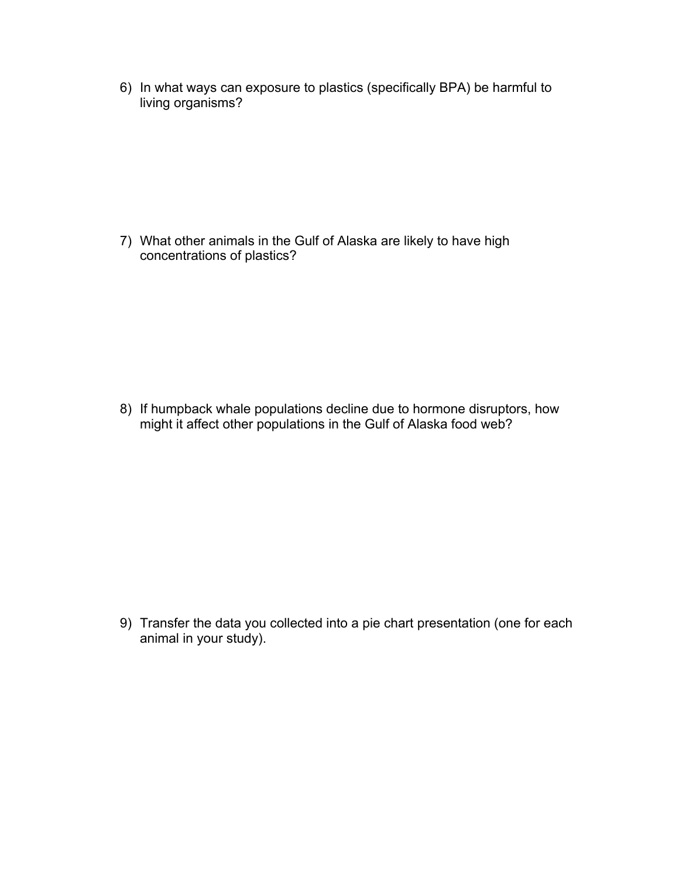6) In what ways can exposure to plastics (specifically BPA) be harmful to living organisms?

7) What other animals in the Gulf of Alaska are likely to have high concentrations of plastics?

8) If humpback whale populations decline due to hormone disruptors, how might it affect other populations in the Gulf of Alaska food web?

9) Transfer the data you collected into a pie chart presentation (one for each animal in your study).